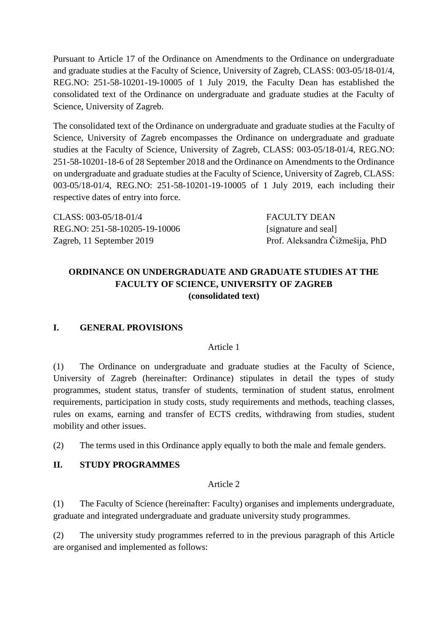Pursuant to Article 17 of the Ordinance on Amendments to the Ordinance on undergraduate and graduate studies at the Faculty of Science, University of Zagreb, CLASS: 003-05/18-01/4, REG.NO: 251-58-10201-19-10005 of 1 July 2019, the Faculty Dean has established the consolidated text of the Ordinance on undergraduate and graduate studies at the Faculty of Science, University of Zagreb.

The consolidated text of the Ordinance on undergraduate and graduate studies at the Faculty of Science, University of Zagreb encompasses the Ordinance on undergraduate and graduate studies at the Faculty of Science, University of Zagreb, CLASS: 003-05/18-01/4, REG.NO: 251-58-10201-18-6 of 28 September 2018 and the Ordinance on Amendments to the Ordinance on undergraduate and graduate studies at the Faculty of Science, University of Zagreb, CLASS: 003-05/18-01/4, REG.NO: 251-58-10201-19-10005 of 1 July 2019, each including their respective dates of entry into force.

| CLASS: 003-05/18-01/4         | FACULTY DEAN                    |
|-------------------------------|---------------------------------|
| REG.NO: 251-58-10205-19-10006 | [signature and seal]            |
| Zagreb, 11 September 2019     | Prof. Aleksandra Čižmešija, PhD |

# **ORDINANCE ON UNDERGRADUATE AND GRADUATE STUDIES AT THE FACULTY OF SCIENCE, UNIVERSITY OF ZAGREB (consolidated text)**

# **I. GENERAL PROVISIONS**

#### Article 1

(1) The Ordinance on undergraduate and graduate studies at the Faculty of Science, University of Zagreb (hereinafter: Ordinance) stipulates in detail the types of study programmes, student status, transfer of students, termination of student status, enrolment requirements, participation in study costs, study requirements and methods, teaching classes, rules on exams, earning and transfer of ECTS credits, withdrawing from studies, student mobility and other issues.

(2) The terms used in this Ordinance apply equally to both the male and female genders.

#### **II. STUDY PROGRAMMES**

#### Article 2

(1) The Faculty of Science (hereinafter: Faculty) organises and implements undergraduate, graduate and integrated undergraduate and graduate university study programmes.

(2) The university study programmes referred to in the previous paragraph of this Article are organised and implemented as follows: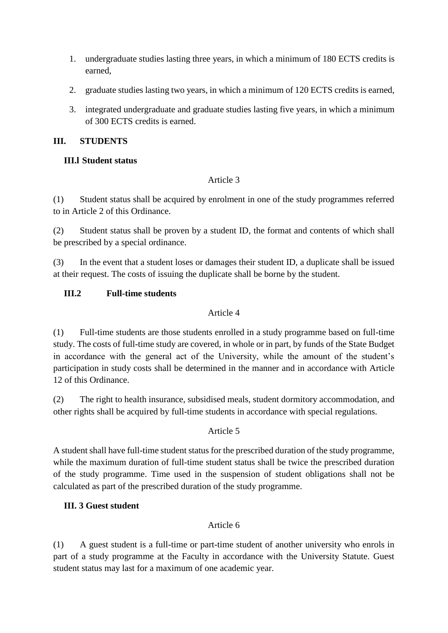- 1. undergraduate studies lasting three years, in which a minimum of 180 ECTS credits is earned,
- 2. graduate studies lasting two years, in which a minimum of 120 ECTS credits is earned,
- 3. integrated undergraduate and graduate studies lasting five years, in which a minimum of 300 ECTS credits is earned.

#### **III. STUDENTS**

### **III.l Student status**

#### Article 3

(1) Student status shall be acquired by enrolment in one of the study programmes referred to in Article 2 of this Ordinance.

(2) Student status shall be proven by a student ID, the format and contents of which shall be prescribed by a special ordinance.

(3) In the event that a student loses or damages their student ID, a duplicate shall be issued at their request. The costs of issuing the duplicate shall be borne by the student.

### **III.2 Full-time students**

#### Article 4

(1) Full-time students are those students enrolled in a study programme based on full-time study. The costs of full-time study are covered, in whole or in part, by funds of the State Budget in accordance with the general act of the University, while the amount of the student's participation in study costs shall be determined in the manner and in accordance with Article 12 of this Ordinance.

(2) The right to health insurance, subsidised meals, student dormitory accommodation, and other rights shall be acquired by full-time students in accordance with special regulations.

#### Article 5

A student shall have full-time student status for the prescribed duration of the study programme, while the maximum duration of full-time student status shall be twice the prescribed duration of the study programme. Time used in the suspension of student obligations shall not be calculated as part of the prescribed duration of the study programme.

# **III. 3 Guest student**

# Article 6

(1) A guest student is a full-time or part-time student of another university who enrols in part of a study programme at the Faculty in accordance with the University Statute. Guest student status may last for a maximum of one academic year.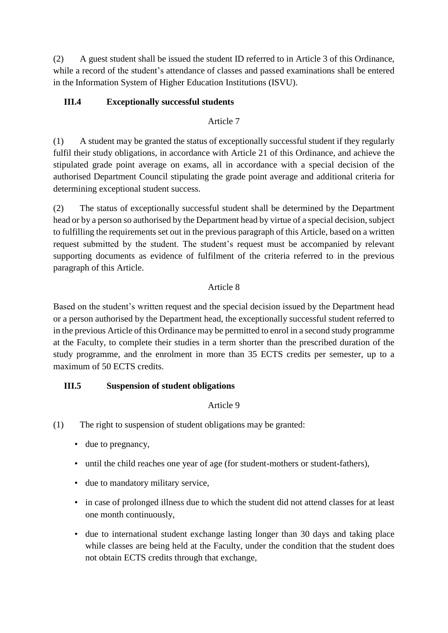(2) A guest student shall be issued the student ID referred to in Article 3 of this Ordinance, while a record of the student's attendance of classes and passed examinations shall be entered in the Information System of Higher Education Institutions (ISVU).

# **III.4 Exceptionally successful students**

### Article 7

(1) A student may be granted the status of exceptionally successful student if they regularly fulfil their study obligations, in accordance with Article 21 of this Ordinance, and achieve the stipulated grade point average on exams, all in accordance with a special decision of the authorised Department Council stipulating the grade point average and additional criteria for determining exceptional student success.

(2) The status of exceptionally successful student shall be determined by the Department head or by a person so authorised by the Department head by virtue of a special decision, subject to fulfilling the requirements set out in the previous paragraph of this Article, based on a written request submitted by the student. The student's request must be accompanied by relevant supporting documents as evidence of fulfilment of the criteria referred to in the previous paragraph of this Article.

# Article 8

Based on the student's written request and the special decision issued by the Department head or a person authorised by the Department head, the exceptionally successful student referred to in the previous Article of this Ordinance may be permitted to enrol in a second study programme at the Faculty, to complete their studies in a term shorter than the prescribed duration of the study programme, and the enrolment in more than 35 ECTS credits per semester, up to a maximum of 50 ECTS credits.

# **III.5 Suspension of student obligations**

# Article 9

- (1) The right to suspension of student obligations may be granted:
	- due to pregnancy,
	- until the child reaches one year of age (for student-mothers or student-fathers),
	- due to mandatory military service,
	- in case of prolonged illness due to which the student did not attend classes for at least one month continuously,
	- due to international student exchange lasting longer than 30 days and taking place while classes are being held at the Faculty, under the condition that the student does not obtain ECTS credits through that exchange,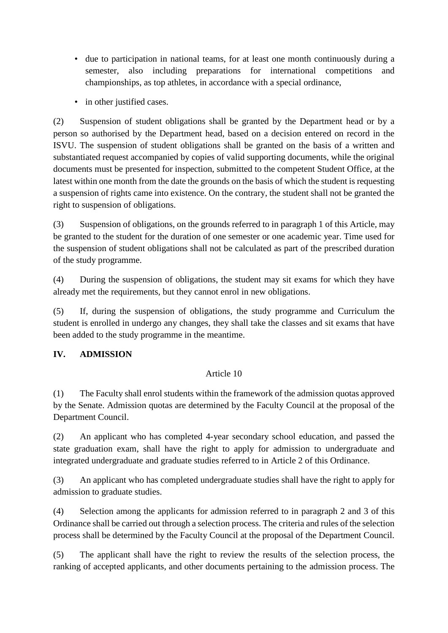- due to participation in national teams, for at least one month continuously during a semester, also including preparations for international competitions and championships, as top athletes, in accordance with a special ordinance,
- in other justified cases.

(2) Suspension of student obligations shall be granted by the Department head or by a person so authorised by the Department head, based on a decision entered on record in the ISVU. The suspension of student obligations shall be granted on the basis of a written and substantiated request accompanied by copies of valid supporting documents, while the original documents must be presented for inspection, submitted to the competent Student Office, at the latest within one month from the date the grounds on the basis of which the student is requesting a suspension of rights came into existence. On the contrary, the student shall not be granted the right to suspension of obligations.

(3) Suspension of obligations, on the grounds referred to in paragraph 1 of this Article, may be granted to the student for the duration of one semester or one academic year. Time used for the suspension of student obligations shall not be calculated as part of the prescribed duration of the study programme.

(4) During the suspension of obligations, the student may sit exams for which they have already met the requirements, but they cannot enrol in new obligations.

(5) If, during the suspension of obligations, the study programme and Curriculum the student is enrolled in undergo any changes, they shall take the classes and sit exams that have been added to the study programme in the meantime.

# **IV. ADMISSION**

# Article 10

(1) The Faculty shall enrol students within the framework of the admission quotas approved by the Senate. Admission quotas are determined by the Faculty Council at the proposal of the Department Council.

(2) An applicant who has completed 4-year secondary school education, and passed the state graduation exam, shall have the right to apply for admission to undergraduate and integrated undergraduate and graduate studies referred to in Article 2 of this Ordinance.

(3) An applicant who has completed undergraduate studies shall have the right to apply for admission to graduate studies.

(4) Selection among the applicants for admission referred to in paragraph 2 and 3 of this Ordinance shall be carried out through a selection process. The criteria and rules of the selection process shall be determined by the Faculty Council at the proposal of the Department Council.

(5) The applicant shall have the right to review the results of the selection process, the ranking of accepted applicants, and other documents pertaining to the admission process. The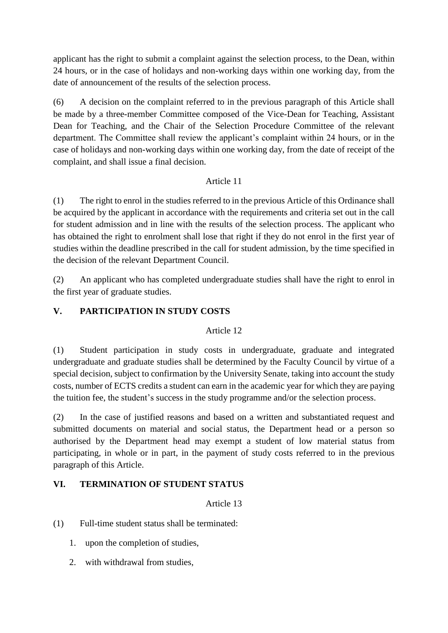applicant has the right to submit a complaint against the selection process, to the Dean, within 24 hours, or in the case of holidays and non-working days within one working day, from the date of announcement of the results of the selection process.

(6) A decision on the complaint referred to in the previous paragraph of this Article shall be made by a three-member Committee composed of the Vice-Dean for Teaching, Assistant Dean for Teaching, and the Chair of the Selection Procedure Committee of the relevant department. The Committee shall review the applicant's complaint within 24 hours, or in the case of holidays and non-working days within one working day, from the date of receipt of the complaint, and shall issue a final decision.

# Article 11

(1) The right to enrol in the studies referred to in the previous Article of this Ordinance shall be acquired by the applicant in accordance with the requirements and criteria set out in the call for student admission and in line with the results of the selection process. The applicant who has obtained the right to enrolment shall lose that right if they do not enrol in the first year of studies within the deadline prescribed in the call for student admission, by the time specified in the decision of the relevant Department Council.

(2) An applicant who has completed undergraduate studies shall have the right to enrol in the first year of graduate studies.

# **V. PARTICIPATION IN STUDY COSTS**

# Article 12

(1) Student participation in study costs in undergraduate, graduate and integrated undergraduate and graduate studies shall be determined by the Faculty Council by virtue of a special decision, subject to confirmation by the University Senate, taking into account the study costs, number of ECTS credits a student can earn in the academic year for which they are paying the tuition fee, the student's success in the study programme and/or the selection process.

(2) In the case of justified reasons and based on a written and substantiated request and submitted documents on material and social status, the Department head or a person so authorised by the Department head may exempt a student of low material status from participating, in whole or in part, in the payment of study costs referred to in the previous paragraph of this Article.

# **VI. TERMINATION OF STUDENT STATUS**

# Article 13

(1) Full-time student status shall be terminated:

- 1. upon the completion of studies,
- 2. with withdrawal from studies,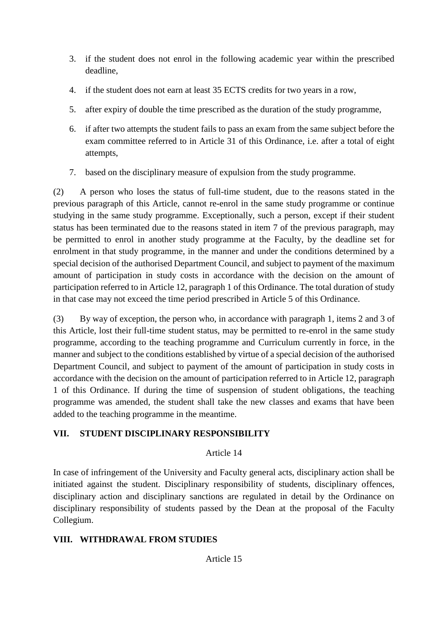- 3. if the student does not enrol in the following academic year within the prescribed deadline,
- 4. if the student does not earn at least 35 ECTS credits for two years in a row,
- 5. after expiry of double the time prescribed as the duration of the study programme,
- 6. if after two attempts the student fails to pass an exam from the same subject before the exam committee referred to in Article 31 of this Ordinance, i.e. after a total of eight attempts,
- 7. based on the disciplinary measure of expulsion from the study programme.

(2) A person who loses the status of full-time student, due to the reasons stated in the previous paragraph of this Article, cannot re-enrol in the same study programme or continue studying in the same study programme. Exceptionally, such a person, except if their student status has been terminated due to the reasons stated in item 7 of the previous paragraph, may be permitted to enrol in another study programme at the Faculty, by the deadline set for enrolment in that study programme, in the manner and under the conditions determined by a special decision of the authorised Department Council, and subject to payment of the maximum amount of participation in study costs in accordance with the decision on the amount of participation referred to in Article 12, paragraph 1 of this Ordinance. The total duration of study in that case may not exceed the time period prescribed in Article 5 of this Ordinance.

(3) By way of exception, the person who, in accordance with paragraph 1, items 2 and 3 of this Article, lost their full-time student status, may be permitted to re-enrol in the same study programme, according to the teaching programme and Curriculum currently in force, in the manner and subject to the conditions established by virtue of a special decision of the authorised Department Council, and subject to payment of the amount of participation in study costs in accordance with the decision on the amount of participation referred to in Article 12, paragraph 1 of this Ordinance. If during the time of suspension of student obligations, the teaching programme was amended, the student shall take the new classes and exams that have been added to the teaching programme in the meantime.

# **VII. STUDENT DISCIPLINARY RESPONSIBILITY**

# Article 14

In case of infringement of the University and Faculty general acts, disciplinary action shall be initiated against the student. Disciplinary responsibility of students, disciplinary offences, disciplinary action and disciplinary sanctions are regulated in detail by the Ordinance on disciplinary responsibility of students passed by the Dean at the proposal of the Faculty Collegium.

# **VIII. WITHDRAWAL FROM STUDIES**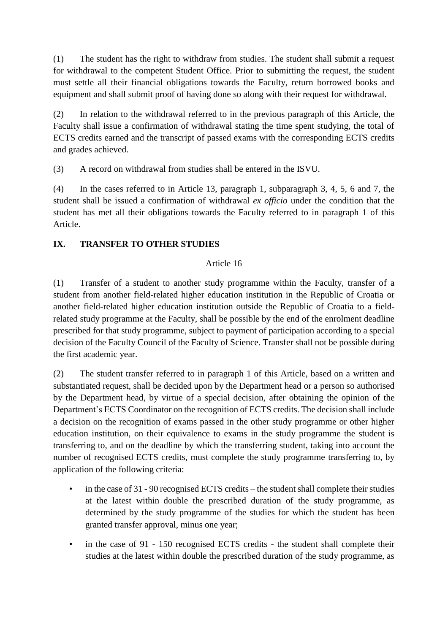(1) The student has the right to withdraw from studies. The student shall submit a request for withdrawal to the competent Student Office. Prior to submitting the request, the student must settle all their financial obligations towards the Faculty, return borrowed books and equipment and shall submit proof of having done so along with their request for withdrawal.

(2) In relation to the withdrawal referred to in the previous paragraph of this Article, the Faculty shall issue a confirmation of withdrawal stating the time spent studying, the total of ECTS credits earned and the transcript of passed exams with the corresponding ECTS credits and grades achieved.

(3) A record on withdrawal from studies shall be entered in the ISVU.

(4) In the cases referred to in Article 13, paragraph 1, subparagraph 3, 4, 5, 6 and 7, the student shall be issued a confirmation of withdrawal *ex officio* under the condition that the student has met all their obligations towards the Faculty referred to in paragraph 1 of this Article.

# **IX. TRANSFER TO OTHER STUDIES**

### Article 16

(1) Transfer of a student to another study programme within the Faculty, transfer of a student from another field-related higher education institution in the Republic of Croatia or another field-related higher education institution outside the Republic of Croatia to a fieldrelated study programme at the Faculty, shall be possible by the end of the enrolment deadline prescribed for that study programme, subject to payment of participation according to a special decision of the Faculty Council of the Faculty of Science. Transfer shall not be possible during the first academic year.

(2) The student transfer referred to in paragraph 1 of this Article, based on a written and substantiated request, shall be decided upon by the Department head or a person so authorised by the Department head, by virtue of a special decision, after obtaining the opinion of the Department's ECTS Coordinator on the recognition of ECTS credits. The decision shall include a decision on the recognition of exams passed in the other study programme or other higher education institution, on their equivalence to exams in the study programme the student is transferring to, and on the deadline by which the transferring student, taking into account the number of recognised ECTS credits, must complete the study programme transferring to, by application of the following criteria:

- in the case of 31 90 recognised ECTS credits the student shall complete their studies at the latest within double the prescribed duration of the study programme, as determined by the study programme of the studies for which the student has been granted transfer approval, minus one year;
- in the case of 91 150 recognised ECTS credits the student shall complete their studies at the latest within double the prescribed duration of the study programme, as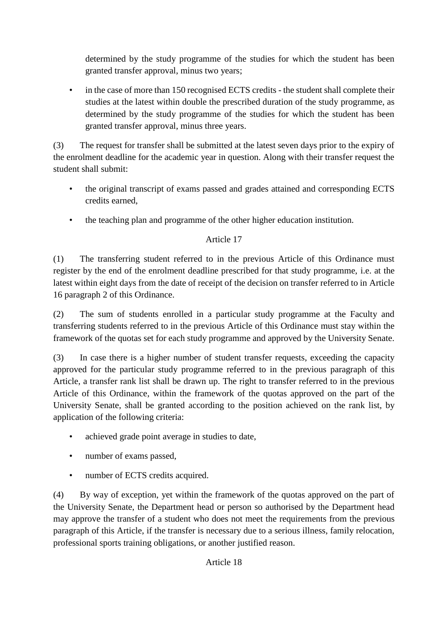determined by the study programme of the studies for which the student has been granted transfer approval, minus two years;

• in the case of more than 150 recognised ECTS credits - the student shall complete their studies at the latest within double the prescribed duration of the study programme, as determined by the study programme of the studies for which the student has been granted transfer approval, minus three years.

(3) The request for transfer shall be submitted at the latest seven days prior to the expiry of the enrolment deadline for the academic year in question. Along with their transfer request the student shall submit:

- the original transcript of exams passed and grades attained and corresponding ECTS credits earned,
- the teaching plan and programme of the other higher education institution.

# Article 17

(1) The transferring student referred to in the previous Article of this Ordinance must register by the end of the enrolment deadline prescribed for that study programme, i.e. at the latest within eight days from the date of receipt of the decision on transfer referred to in Article 16 paragraph 2 of this Ordinance.

(2) The sum of students enrolled in a particular study programme at the Faculty and transferring students referred to in the previous Article of this Ordinance must stay within the framework of the quotas set for each study programme and approved by the University Senate.

(3) In case there is a higher number of student transfer requests, exceeding the capacity approved for the particular study programme referred to in the previous paragraph of this Article, a transfer rank list shall be drawn up. The right to transfer referred to in the previous Article of this Ordinance, within the framework of the quotas approved on the part of the University Senate, shall be granted according to the position achieved on the rank list, by application of the following criteria:

- achieved grade point average in studies to date,
- number of exams passed,
- number of ECTS credits acquired.

(4) By way of exception, yet within the framework of the quotas approved on the part of the University Senate, the Department head or person so authorised by the Department head may approve the transfer of a student who does not meet the requirements from the previous paragraph of this Article, if the transfer is necessary due to a serious illness, family relocation, professional sports training obligations, or another justified reason.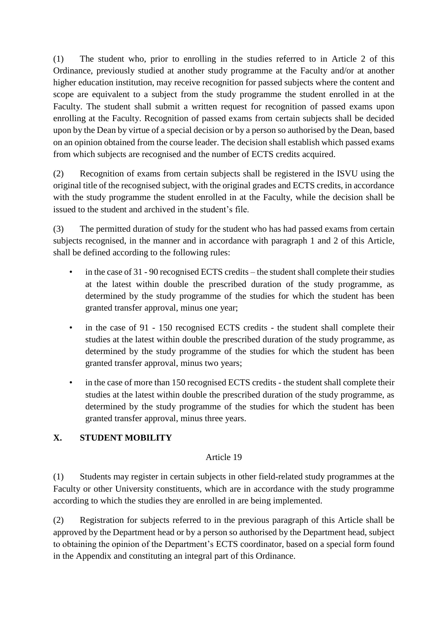(1) The student who, prior to enrolling in the studies referred to in Article 2 of this Ordinance, previously studied at another study programme at the Faculty and/or at another higher education institution, may receive recognition for passed subjects where the content and scope are equivalent to a subject from the study programme the student enrolled in at the Faculty. The student shall submit a written request for recognition of passed exams upon enrolling at the Faculty. Recognition of passed exams from certain subjects shall be decided upon by the Dean by virtue of a special decision or by a person so authorised by the Dean, based on an opinion obtained from the course leader. The decision shall establish which passed exams from which subjects are recognised and the number of ECTS credits acquired.

(2) Recognition of exams from certain subjects shall be registered in the ISVU using the original title of the recognised subject, with the original grades and ECTS credits, in accordance with the study programme the student enrolled in at the Faculty, while the decision shall be issued to the student and archived in the student's file.

(3) The permitted duration of study for the student who has had passed exams from certain subjects recognised, in the manner and in accordance with paragraph 1 and 2 of this Article, shall be defined according to the following rules:

- in the case of 31 90 recognised ECTS credits the student shall complete their studies at the latest within double the prescribed duration of the study programme, as determined by the study programme of the studies for which the student has been granted transfer approval, minus one year;
- in the case of 91 150 recognised ECTS credits the student shall complete their studies at the latest within double the prescribed duration of the study programme, as determined by the study programme of the studies for which the student has been granted transfer approval, minus two years;
- in the case of more than 150 recognised ECTS credits the student shall complete their studies at the latest within double the prescribed duration of the study programme, as determined by the study programme of the studies for which the student has been granted transfer approval, minus three years.

# **X. STUDENT MOBILITY**

# Article 19

(1) Students may register in certain subjects in other field-related study programmes at the Faculty or other University constituents, which are in accordance with the study programme according to which the studies they are enrolled in are being implemented.

(2) Registration for subjects referred to in the previous paragraph of this Article shall be approved by the Department head or by a person so authorised by the Department head, subject to obtaining the opinion of the Department's ECTS coordinator, based on a special form found in the Appendix and constituting an integral part of this Ordinance.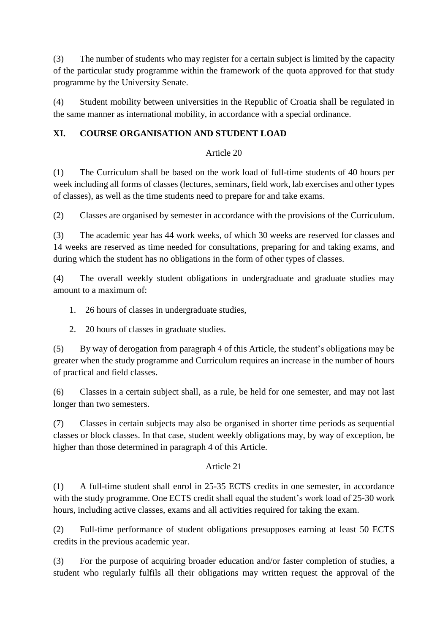(3) The number of students who may register for a certain subject is limited by the capacity of the particular study programme within the framework of the quota approved for that study programme by the University Senate.

(4) Student mobility between universities in the Republic of Croatia shall be regulated in the same manner as international mobility, in accordance with a special ordinance.

# **XI. COURSE ORGANISATION AND STUDENT LOAD**

### Article 20

(1) The Curriculum shall be based on the work load of full-time students of 40 hours per week including all forms of classes (lectures, seminars, field work, lab exercises and other types of classes), as well as the time students need to prepare for and take exams.

(2) Classes are organised by semester in accordance with the provisions of the Curriculum.

(3) The academic year has 44 work weeks, of which 30 weeks are reserved for classes and 14 weeks are reserved as time needed for consultations, preparing for and taking exams, and during which the student has no obligations in the form of other types of classes.

(4) The overall weekly student obligations in undergraduate and graduate studies may amount to a maximum of:

- 1. 26 hours of classes in undergraduate studies,
- 2. 20 hours of classes in graduate studies.

(5) By way of derogation from paragraph 4 of this Article, the student's obligations may be greater when the study programme and Curriculum requires an increase in the number of hours of practical and field classes.

(6) Classes in a certain subject shall, as a rule, be held for one semester, and may not last longer than two semesters.

(7) Classes in certain subjects may also be organised in shorter time periods as sequential classes or block classes. In that case, student weekly obligations may, by way of exception, be higher than those determined in paragraph 4 of this Article.

# Article 21

(1) A full-time student shall enrol in 25-35 ECTS credits in one semester, in accordance with the study programme. One ECTS credit shall equal the student's work load of 25-30 work hours, including active classes, exams and all activities required for taking the exam.

(2) Full-time performance of student obligations presupposes earning at least 50 ECTS credits in the previous academic year.

(3) For the purpose of acquiring broader education and/or faster completion of studies, a student who regularly fulfils all their obligations may written request the approval of the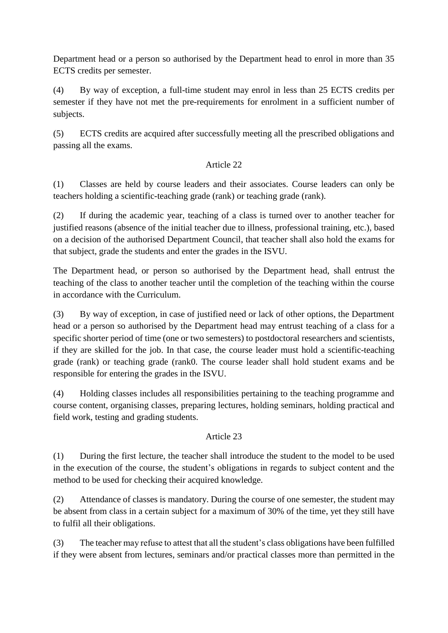Department head or a person so authorised by the Department head to enrol in more than 35 ECTS credits per semester.

(4) By way of exception, a full-time student may enrol in less than 25 ECTS credits per semester if they have not met the pre-requirements for enrolment in a sufficient number of subjects.

(5) ECTS credits are acquired after successfully meeting all the prescribed obligations and passing all the exams.

# Article 22

(1) Classes are held by course leaders and their associates. Course leaders can only be teachers holding a scientific-teaching grade (rank) or teaching grade (rank).

(2) If during the academic year, teaching of a class is turned over to another teacher for justified reasons (absence of the initial teacher due to illness, professional training, etc.), based on a decision of the authorised Department Council, that teacher shall also hold the exams for that subject, grade the students and enter the grades in the ISVU.

The Department head, or person so authorised by the Department head, shall entrust the teaching of the class to another teacher until the completion of the teaching within the course in accordance with the Curriculum.

(3) By way of exception, in case of justified need or lack of other options, the Department head or a person so authorised by the Department head may entrust teaching of a class for a specific shorter period of time (one or two semesters) to postdoctoral researchers and scientists, if they are skilled for the job. In that case, the course leader must hold a scientific-teaching grade (rank) or teaching grade (rank0. The course leader shall hold student exams and be responsible for entering the grades in the ISVU.

(4) Holding classes includes all responsibilities pertaining to the teaching programme and course content, organising classes, preparing lectures, holding seminars, holding practical and field work, testing and grading students.

# Article 23

(1) During the first lecture, the teacher shall introduce the student to the model to be used in the execution of the course, the student's obligations in regards to subject content and the method to be used for checking their acquired knowledge.

(2) Attendance of classes is mandatory. During the course of one semester, the student may be absent from class in a certain subject for a maximum of 30% of the time, yet they still have to fulfil all their obligations.

(3) The teacher may refuse to attest that all the student's class obligations have been fulfilled if they were absent from lectures, seminars and/or practical classes more than permitted in the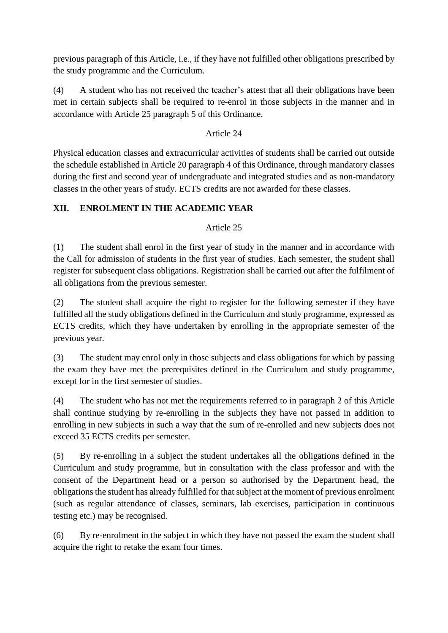previous paragraph of this Article, i.e., if they have not fulfilled other obligations prescribed by the study programme and the Curriculum.

(4) A student who has not received the teacher's attest that all their obligations have been met in certain subjects shall be required to re-enrol in those subjects in the manner and in accordance with Article 25 paragraph 5 of this Ordinance.

# Article 24

Physical education classes and extracurricular activities of students shall be carried out outside the schedule established in Article 20 paragraph 4 of this Ordinance, through mandatory classes during the first and second year of undergraduate and integrated studies and as non-mandatory classes in the other years of study. ECTS credits are not awarded for these classes.

# **XII. ENROLMENT IN THE ACADEMIC YEAR**

# Article 25

(1) The student shall enrol in the first year of study in the manner and in accordance with the Call for admission of students in the first year of studies. Each semester, the student shall register for subsequent class obligations. Registration shall be carried out after the fulfilment of all obligations from the previous semester.

(2) The student shall acquire the right to register for the following semester if they have fulfilled all the study obligations defined in the Curriculum and study programme, expressed as ECTS credits, which they have undertaken by enrolling in the appropriate semester of the previous year.

(3) The student may enrol only in those subjects and class obligations for which by passing the exam they have met the prerequisites defined in the Curriculum and study programme, except for in the first semester of studies.

(4) The student who has not met the requirements referred to in paragraph 2 of this Article shall continue studying by re-enrolling in the subjects they have not passed in addition to enrolling in new subjects in such a way that the sum of re-enrolled and new subjects does not exceed 35 ECTS credits per semester.

(5) By re-enrolling in a subject the student undertakes all the obligations defined in the Curriculum and study programme, but in consultation with the class professor and with the consent of the Department head or a person so authorised by the Department head, the obligations the student has already fulfilled for that subject at the moment of previous enrolment (such as regular attendance of classes, seminars, lab exercises, participation in continuous testing etc.) may be recognised.

(6) By re-enrolment in the subject in which they have not passed the exam the student shall acquire the right to retake the exam four times.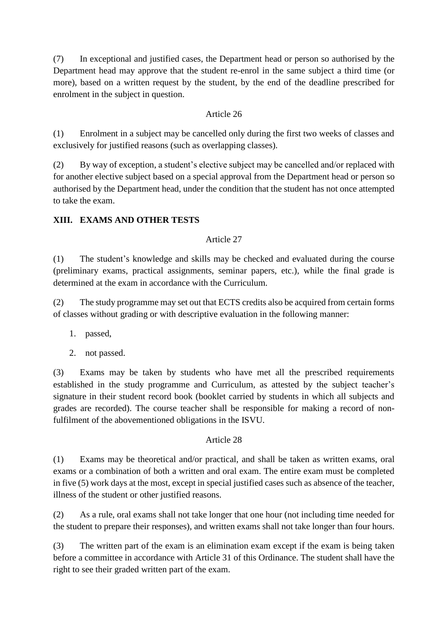(7) In exceptional and justified cases, the Department head or person so authorised by the Department head may approve that the student re-enrol in the same subject a third time (or more), based on a written request by the student, by the end of the deadline prescribed for enrolment in the subject in question.

# Article 26

(1) Enrolment in a subject may be cancelled only during the first two weeks of classes and exclusively for justified reasons (such as overlapping classes).

(2) By way of exception, a student's elective subject may be cancelled and/or replaced with for another elective subject based on a special approval from the Department head or person so authorised by the Department head, under the condition that the student has not once attempted to take the exam.

# **XIII. EXAMS AND OTHER TESTS**

# Article 27

(1) The student's knowledge and skills may be checked and evaluated during the course (preliminary exams, practical assignments, seminar papers, etc.), while the final grade is determined at the exam in accordance with the Curriculum.

(2) The study programme may set out that ECTS credits also be acquired from certain forms of classes without grading or with descriptive evaluation in the following manner:

- 1. passed,
- 2. not passed.

(3) Exams may be taken by students who have met all the prescribed requirements established in the study programme and Curriculum, as attested by the subject teacher's signature in their student record book (booklet carried by students in which all subjects and grades are recorded). The course teacher shall be responsible for making a record of nonfulfilment of the abovementioned obligations in the ISVU.

# Article 28

(1) Exams may be theoretical and/or practical, and shall be taken as written exams, oral exams or a combination of both a written and oral exam. The entire exam must be completed in five (5) work days at the most, except in special justified cases such as absence of the teacher, illness of the student or other justified reasons.

(2) As a rule, oral exams shall not take longer that one hour (not including time needed for the student to prepare their responses), and written exams shall not take longer than four hours.

(3) The written part of the exam is an elimination exam except if the exam is being taken before a committee in accordance with Article 31 of this Ordinance. The student shall have the right to see their graded written part of the exam.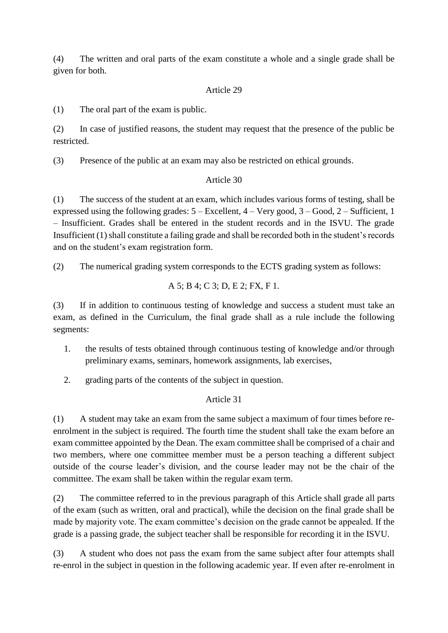(4) The written and oral parts of the exam constitute a whole and a single grade shall be given for both.

### Article 29

(1) The oral part of the exam is public.

(2) In case of justified reasons, the student may request that the presence of the public be restricted.

(3) Presence of the public at an exam may also be restricted on ethical grounds.

### Article 30

(1) The success of the student at an exam, which includes various forms of testing, shall be expressed using the following grades:  $5 -$  Excellent,  $4 -$  Very good,  $3 -$  Good,  $2 -$  Sufficient, 1 – Insufficient. Grades shall be entered in the student records and in the ISVU. The grade Insufficient (1) shall constitute a failing grade and shall be recorded both in the student's records and on the student's exam registration form.

(2) The numerical grading system corresponds to the ECTS grading system as follows:

$$
A 5
$$
;  $B 4$ ;  $C 3$ ;  $D$ ,  $E 2$ ;  $FX$ ,  $F 1$ .

(3) If in addition to continuous testing of knowledge and success a student must take an exam, as defined in the Curriculum, the final grade shall as a rule include the following segments:

- 1. the results of tests obtained through continuous testing of knowledge and/or through preliminary exams, seminars, homework assignments, lab exercises,
- 2. grading parts of the contents of the subject in question.

# Article 31

(1) A student may take an exam from the same subject a maximum of four times before reenrolment in the subject is required. The fourth time the student shall take the exam before an exam committee appointed by the Dean. The exam committee shall be comprised of a chair and two members, where one committee member must be a person teaching a different subject outside of the course leader's division, and the course leader may not be the chair of the committee. The exam shall be taken within the regular exam term.

(2) The committee referred to in the previous paragraph of this Article shall grade all parts of the exam (such as written, oral and practical), while the decision on the final grade shall be made by majority vote. The exam committee's decision on the grade cannot be appealed. If the grade is a passing grade, the subject teacher shall be responsible for recording it in the ISVU.

(3) A student who does not pass the exam from the same subject after four attempts shall re-enrol in the subject in question in the following academic year. If even after re-enrolment in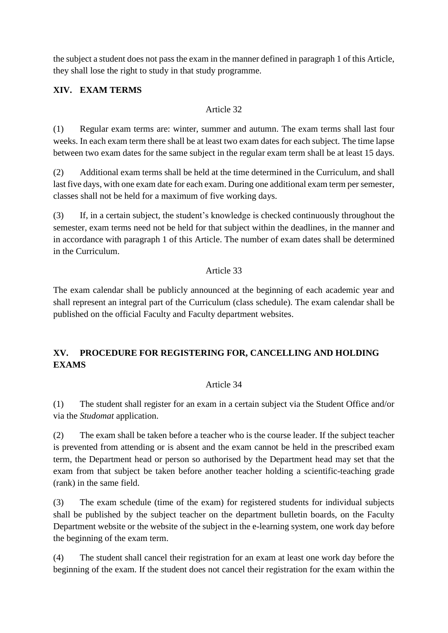the subject a student does not pass the exam in the manner defined in paragraph 1 of this Article, they shall lose the right to study in that study programme.

# **XIV. EXAM TERMS**

# Article 32

(1) Regular exam terms are: winter, summer and autumn. The exam terms shall last four weeks. In each exam term there shall be at least two exam dates for each subject. The time lapse between two exam dates for the same subject in the regular exam term shall be at least 15 days.

(2) Additional exam terms shall be held at the time determined in the Curriculum, and shall last five days, with one exam date for each exam. During one additional exam term per semester, classes shall not be held for a maximum of five working days.

(3) If, in a certain subject, the student's knowledge is checked continuously throughout the semester, exam terms need not be held for that subject within the deadlines, in the manner and in accordance with paragraph 1 of this Article. The number of exam dates shall be determined in the Curriculum.

# Article 33

The exam calendar shall be publicly announced at the beginning of each academic year and shall represent an integral part of the Curriculum (class schedule). The exam calendar shall be published on the official Faculty and Faculty department websites.

# **XV. PROCEDURE FOR REGISTERING FOR, CANCELLING AND HOLDING EXAMS**

# Article 34

(1) The student shall register for an exam in a certain subject via the Student Office and/or via the *Studomat* application.

(2) The exam shall be taken before a teacher who is the course leader. If the subject teacher is prevented from attending or is absent and the exam cannot be held in the prescribed exam term, the Department head or person so authorised by the Department head may set that the exam from that subject be taken before another teacher holding a scientific-teaching grade (rank) in the same field.

(3) The exam schedule (time of the exam) for registered students for individual subjects shall be published by the subject teacher on the department bulletin boards, on the Faculty Department website or the website of the subject in the e-learning system, one work day before the beginning of the exam term.

(4) The student shall cancel their registration for an exam at least one work day before the beginning of the exam. If the student does not cancel their registration for the exam within the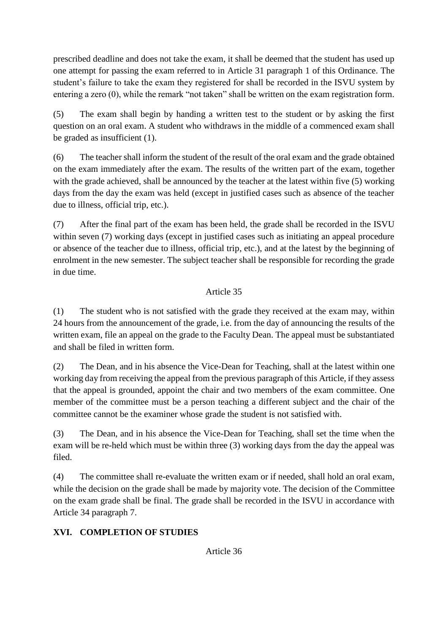prescribed deadline and does not take the exam, it shall be deemed that the student has used up one attempt for passing the exam referred to in Article 31 paragraph 1 of this Ordinance. The student's failure to take the exam they registered for shall be recorded in the ISVU system by entering a zero (0), while the remark "not taken" shall be written on the exam registration form.

(5) The exam shall begin by handing a written test to the student or by asking the first question on an oral exam. A student who withdraws in the middle of a commenced exam shall be graded as insufficient (1).

(6) The teacher shall inform the student of the result of the oral exam and the grade obtained on the exam immediately after the exam. The results of the written part of the exam, together with the grade achieved, shall be announced by the teacher at the latest within five (5) working days from the day the exam was held (except in justified cases such as absence of the teacher due to illness, official trip, etc.).

(7) After the final part of the exam has been held, the grade shall be recorded in the ISVU within seven (7) working days (except in justified cases such as initiating an appeal procedure or absence of the teacher due to illness, official trip, etc.), and at the latest by the beginning of enrolment in the new semester. The subject teacher shall be responsible for recording the grade in due time.

# Article 35

(1) The student who is not satisfied with the grade they received at the exam may, within 24 hours from the announcement of the grade, i.e. from the day of announcing the results of the written exam, file an appeal on the grade to the Faculty Dean. The appeal must be substantiated and shall be filed in written form.

(2) The Dean, and in his absence the Vice-Dean for Teaching, shall at the latest within one working day from receiving the appeal from the previous paragraph of this Article, if they assess that the appeal is grounded, appoint the chair and two members of the exam committee. One member of the committee must be a person teaching a different subject and the chair of the committee cannot be the examiner whose grade the student is not satisfied with.

(3) The Dean, and in his absence the Vice-Dean for Teaching, shall set the time when the exam will be re-held which must be within three (3) working days from the day the appeal was filed.

(4) The committee shall re-evaluate the written exam or if needed, shall hold an oral exam, while the decision on the grade shall be made by majority vote. The decision of the Committee on the exam grade shall be final. The grade shall be recorded in the ISVU in accordance with Article 34 paragraph 7.

# **XVI. COMPLETION OF STUDIES**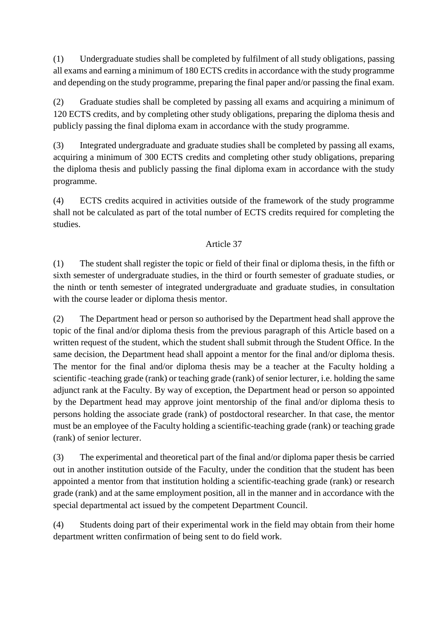(1) Undergraduate studies shall be completed by fulfilment of all study obligations, passing all exams and earning a minimum of 180 ECTS credits in accordance with the study programme and depending on the study programme, preparing the final paper and/or passing the final exam.

(2) Graduate studies shall be completed by passing all exams and acquiring a minimum of 120 ECTS credits, and by completing other study obligations, preparing the diploma thesis and publicly passing the final diploma exam in accordance with the study programme.

(3) Integrated undergraduate and graduate studies shall be completed by passing all exams, acquiring a minimum of 300 ECTS credits and completing other study obligations, preparing the diploma thesis and publicly passing the final diploma exam in accordance with the study programme.

(4) ECTS credits acquired in activities outside of the framework of the study programme shall not be calculated as part of the total number of ECTS credits required for completing the studies.

# Article 37

(1) The student shall register the topic or field of their final or diploma thesis, in the fifth or sixth semester of undergraduate studies, in the third or fourth semester of graduate studies, or the ninth or tenth semester of integrated undergraduate and graduate studies, in consultation with the course leader or diploma thesis mentor.

(2) The Department head or person so authorised by the Department head shall approve the topic of the final and/or diploma thesis from the previous paragraph of this Article based on a written request of the student, which the student shall submit through the Student Office. In the same decision, the Department head shall appoint a mentor for the final and/or diploma thesis. The mentor for the final and/or diploma thesis may be a teacher at the Faculty holding a scientific -teaching grade (rank) or teaching grade (rank) of senior lecturer, i.e. holding the same adjunct rank at the Faculty. By way of exception, the Department head or person so appointed by the Department head may approve joint mentorship of the final and/or diploma thesis to persons holding the associate grade (rank) of postdoctoral researcher. In that case, the mentor must be an employee of the Faculty holding a scientific-teaching grade (rank) or teaching grade (rank) of senior lecturer.

(3) The experimental and theoretical part of the final and/or diploma paper thesis be carried out in another institution outside of the Faculty, under the condition that the student has been appointed a mentor from that institution holding a scientific-teaching grade (rank) or research grade (rank) and at the same employment position, all in the manner and in accordance with the special departmental act issued by the competent Department Council.

(4) Students doing part of their experimental work in the field may obtain from their home department written confirmation of being sent to do field work.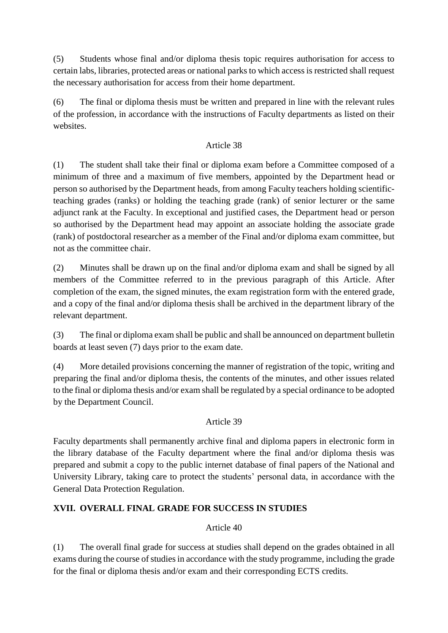(5) Students whose final and/or diploma thesis topic requires authorisation for access to certain labs, libraries, protected areas or national parks to which access is restricted shall request the necessary authorisation for access from their home department.

(6) The final or diploma thesis must be written and prepared in line with the relevant rules of the profession, in accordance with the instructions of Faculty departments as listed on their websites.

### Article 38

(1) The student shall take their final or diploma exam before a Committee composed of a minimum of three and a maximum of five members, appointed by the Department head or person so authorised by the Department heads, from among Faculty teachers holding scientificteaching grades (ranks) or holding the teaching grade (rank) of senior lecturer or the same adjunct rank at the Faculty. In exceptional and justified cases, the Department head or person so authorised by the Department head may appoint an associate holding the associate grade (rank) of postdoctoral researcher as a member of the Final and/or diploma exam committee, but not as the committee chair.

(2) Minutes shall be drawn up on the final and/or diploma exam and shall be signed by all members of the Committee referred to in the previous paragraph of this Article. After completion of the exam, the signed minutes, the exam registration form with the entered grade, and a copy of the final and/or diploma thesis shall be archived in the department library of the relevant department.

(3) The final or diploma exam shall be public and shall be announced on department bulletin boards at least seven (7) days prior to the exam date.

(4) More detailed provisions concerning the manner of registration of the topic, writing and preparing the final and/or diploma thesis, the contents of the minutes, and other issues related to the final or diploma thesis and/or exam shall be regulated by a special ordinance to be adopted by the Department Council.

# Article 39

Faculty departments shall permanently archive final and diploma papers in electronic form in the library database of the Faculty department where the final and/or diploma thesis was prepared and submit a copy to the public internet database of final papers of the National and University Library, taking care to protect the students' personal data, in accordance with the General Data Protection Regulation.

# **XVII. OVERALL FINAL GRADE FOR SUCCESS IN STUDIES**

# Article 40

(1) The overall final grade for success at studies shall depend on the grades obtained in all exams during the course of studies in accordance with the study programme, including the grade for the final or diploma thesis and/or exam and their corresponding ECTS credits.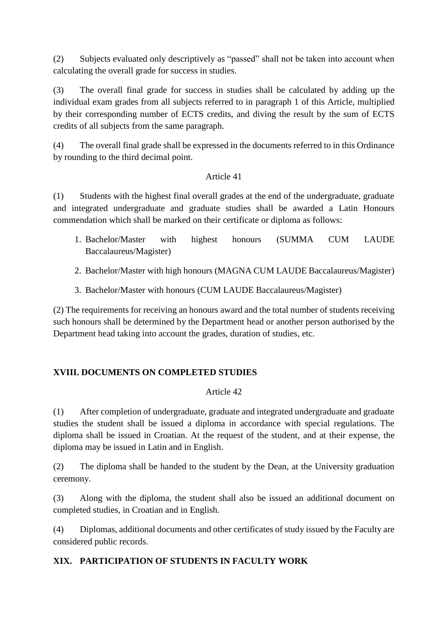(2) Subjects evaluated only descriptively as "passed" shall not be taken into account when calculating the overall grade for success in studies.

(3) The overall final grade for success in studies shall be calculated by adding up the individual exam grades from all subjects referred to in paragraph 1 of this Article, multiplied by their corresponding number of ECTS credits, and diving the result by the sum of ECTS credits of all subjects from the same paragraph.

(4) The overall final grade shall be expressed in the documents referred to in this Ordinance by rounding to the third decimal point.

# Article 41

(1) Students with the highest final overall grades at the end of the undergraduate, graduate and integrated undergraduate and graduate studies shall be awarded a Latin Honours commendation which shall be marked on their certificate or diploma as follows:

- 1. Bachelor/Master with highest honours (SUMMA CUM LAUDE Baccalaureus/Magister)
- 2. Bachelor/Master with high honours (MAGNA CUM LAUDE Baccalaureus/Magister)
- 3. Bachelor/Master with honours (CUM LAUDE Baccalaureus/Magister)

(2) The requirements for receiving an honours award and the total number of students receiving such honours shall be determined by the Department head or another person authorised by the Department head taking into account the grades, duration of studies, etc.

# **XVIII. DOCUMENTS ON COMPLETED STUDIES**

# Article 42

(1) After completion of undergraduate, graduate and integrated undergraduate and graduate studies the student shall be issued a diploma in accordance with special regulations. The diploma shall be issued in Croatian. At the request of the student, and at their expense, the diploma may be issued in Latin and in English.

(2) The diploma shall be handed to the student by the Dean, at the University graduation ceremony.

(3) Along with the diploma, the student shall also be issued an additional document on completed studies, in Croatian and in English.

(4) Diplomas, additional documents and other certificates of study issued by the Faculty are considered public records.

# **XIX. PARTICIPATION OF STUDENTS IN FACULTY WORK**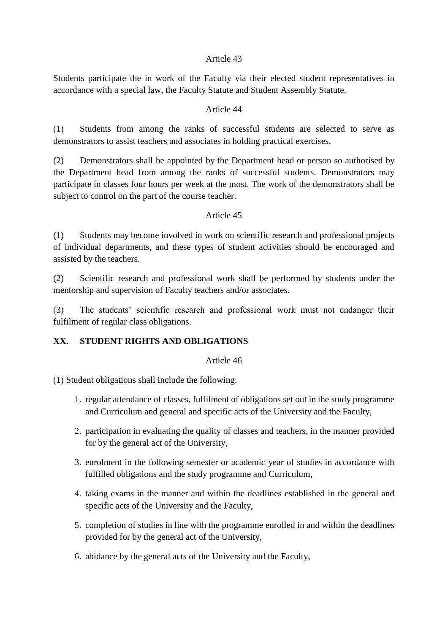#### Article 43

Students participate the in work of the Faculty via their elected student representatives in accordance with a special law, the Faculty Statute and Student Assembly Statute.

#### Article 44

(1) Students from among the ranks of successful students are selected to serve as demonstrators to assist teachers and associates in holding practical exercises.

(2) Demonstrators shall be appointed by the Department head or person so authorised by the Department head from among the ranks of successful students. Demonstrators may participate in classes four hours per week at the most. The work of the demonstrators shall be subject to control on the part of the course teacher.

#### Article 45

(1) Students may become involved in work on scientific research and professional projects of individual departments, and these types of student activities should be encouraged and assisted by the teachers.

(2) Scientific research and professional work shall be performed by students under the mentorship and supervision of Faculty teachers and/or associates.

(3) The students' scientific research and professional work must not endanger their fulfilment of regular class obligations.

# **XX. STUDENT RIGHTS AND OBLIGATIONS**

Article 46

(1) Student obligations shall include the following:

- 1. regular attendance of classes, fulfilment of obligations set out in the study programme and Curriculum and general and specific acts of the University and the Faculty,
- 2. participation in evaluating the quality of classes and teachers, in the manner provided for by the general act of the University,
- 3. enrolment in the following semester or academic year of studies in accordance with fulfilled obligations and the study programme and Curriculum,
- 4. taking exams in the manner and within the deadlines established in the general and specific acts of the University and the Faculty,
- 5. completion of studies in line with the programme enrolled in and within the deadlines provided for by the general act of the University,
- 6. abidance by the general acts of the University and the Faculty,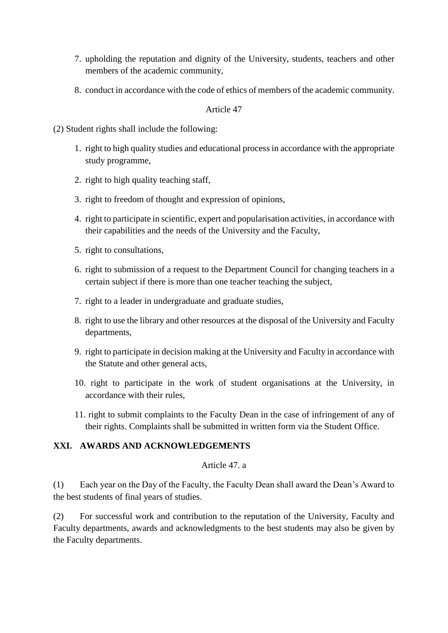- 7. upholding the reputation and dignity of the University, students, teachers and other members of the academic community,
- 8. conduct in accordance with the code of ethics of members of the academic community.

Article 47

(2) Student rights shall include the following:

- 1. right to high quality studies and educational process in accordance with the appropriate study programme,
- 2. right to high quality teaching staff,
- 3. right to freedom of thought and expression of opinions,
- 4. right to participate in scientific, expert and popularisation activities, in accordance with their capabilities and the needs of the University and the Faculty,
- 5. right to consultations,
- 6. right to submission of a request to the Department Council for changing teachers in a certain subject if there is more than one teacher teaching the subject,
- 7. right to a leader in undergraduate and graduate studies,
- 8. right to use the library and other resources at the disposal of the University and Faculty departments,
- 9. right to participate in decision making at the University and Faculty in accordance with the Statute and other general acts,
- 10. right to participate in the work of student organisations at the University, in accordance with their rules,
- 11. right to submit complaints to the Faculty Dean in the case of infringement of any of their rights. Complaints shall be submitted in written form via the Student Office.

#### **XXI. AWARDS AND ACKNOWLEDGEMENTS**

#### Article 47. a

(1) Each year on the Day of the Faculty, the Faculty Dean shall award the Dean's Award to the best students of final years of studies.

(2) For successful work and contribution to the reputation of the University, Faculty and Faculty departments, awards and acknowledgments to the best students may also be given by the Faculty departments.